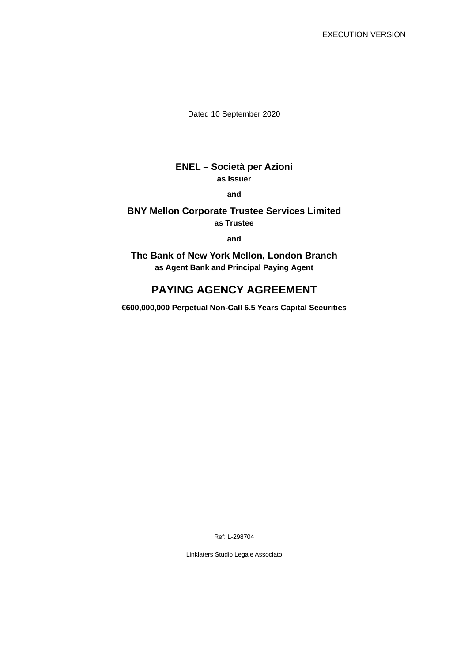Dated 10 September 2020

# **ENEL – Società per Azioni as Issuer**

**and** 

### **BNY Mellon Corporate Trustee Services Limited as Trustee**

**and** 

**The Bank of New York Mellon, London Branch as Agent Bank and Principal Paying Agent**

# **PAYING AGENCY AGREEMENT**

**€600,000,000 Perpetual Non-Call 6.5 Years Capital Securities** 

Ref: L-298704

Linklaters Studio Legale Associato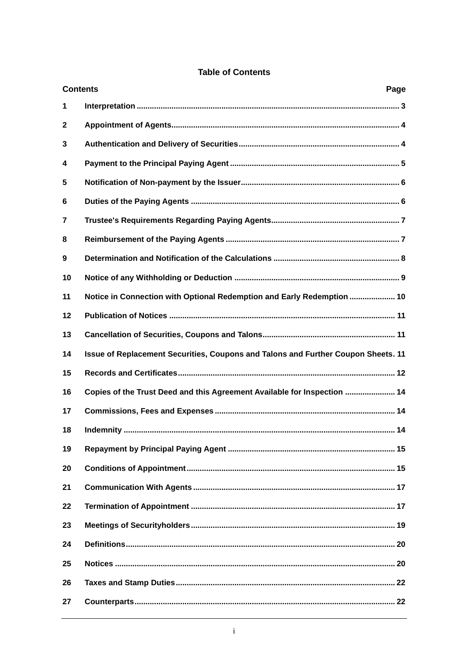|              | <b>Contents</b><br>Page                                                           |  |  |
|--------------|-----------------------------------------------------------------------------------|--|--|
| 1            |                                                                                   |  |  |
| $\mathbf{2}$ |                                                                                   |  |  |
| 3            |                                                                                   |  |  |
| 4            |                                                                                   |  |  |
| 5            |                                                                                   |  |  |
| 6            |                                                                                   |  |  |
| 7            |                                                                                   |  |  |
| 8            |                                                                                   |  |  |
| 9            |                                                                                   |  |  |
| 10           |                                                                                   |  |  |
| 11           | Notice in Connection with Optional Redemption and Early Redemption  10            |  |  |
| 12           |                                                                                   |  |  |
| 13           |                                                                                   |  |  |
| 14           | Issue of Replacement Securities, Coupons and Talons and Further Coupon Sheets. 11 |  |  |
| 15           |                                                                                   |  |  |
| 16           | Copies of the Trust Deed and this Agreement Available for Inspection  14          |  |  |
| 17           |                                                                                   |  |  |
| 18           |                                                                                   |  |  |
| 19           |                                                                                   |  |  |
| 20           |                                                                                   |  |  |
| 21           |                                                                                   |  |  |
| 22           |                                                                                   |  |  |
| 23           |                                                                                   |  |  |
| 24           |                                                                                   |  |  |
| 25           |                                                                                   |  |  |
| 26           |                                                                                   |  |  |
| 27           |                                                                                   |  |  |

# **Table of Contents**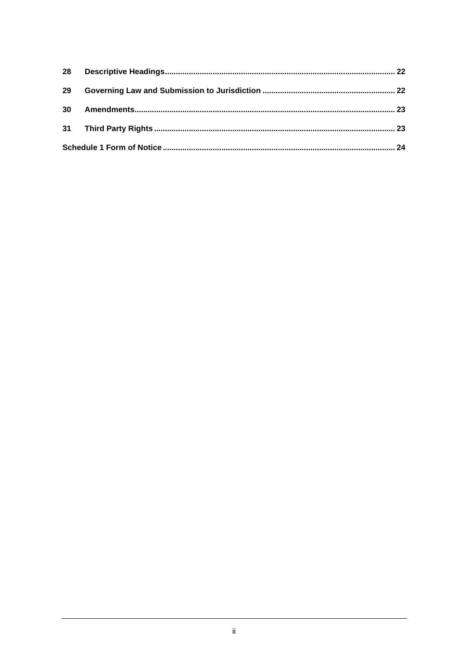| 29 |  |  |
|----|--|--|
|    |  |  |
|    |  |  |
|    |  |  |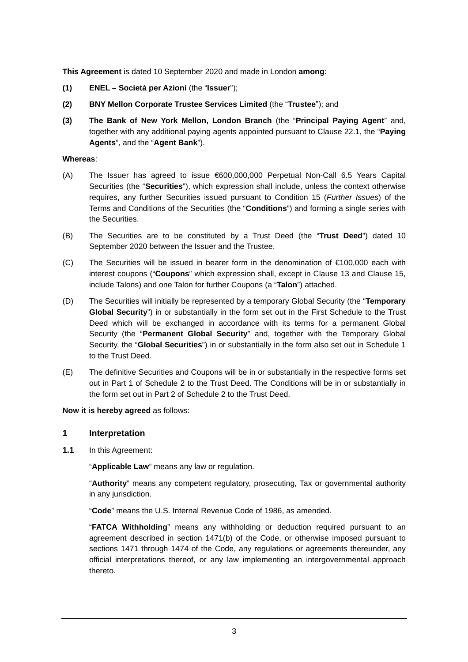**This Agreement** is dated 10 September 2020 and made in London **among**:

- **(1) ENEL Società per Azioni** (the "**Issuer**");
- **(2) BNY Mellon Corporate Trustee Services Limited** (the "**Trustee**"); and
- **(3) The Bank of New York Mellon, London Branch** (the "**Principal Paying Agent**" and, together with any additional paying agents appointed pursuant to Clause 22.1, the "**Paying Agents**", and the "**Agent Bank**").

#### **Whereas**:

- (A) The Issuer has agreed to issue €600,000,000 Perpetual Non-Call 6.5 Years Capital Securities (the "**Securities**"), which expression shall include, unless the context otherwise requires, any further Securities issued pursuant to Condition 15 (*Further Issues*) of the Terms and Conditions of the Securities (the "**Conditions**") and forming a single series with the Securities.
- (B) The Securities are to be constituted by a Trust Deed (the "**Trust Deed**") dated 10 September 2020 between the Issuer and the Trustee.
- (C) The Securities will be issued in bearer form in the denomination of €100,000 each with interest coupons ("**Coupons**" which expression shall, except in Clause 13 and Clause 15, include Talons) and one Talon for further Coupons (a "**Talon**") attached.
- (D) The Securities will initially be represented by a temporary Global Security (the "**Temporary Global Security**") in or substantially in the form set out in the First Schedule to the Trust Deed which will be exchanged in accordance with its terms for a permanent Global Security (the "**Permanent Global Security**" and, together with the Temporary Global Security, the "**Global Securities**") in or substantially in the form also set out in Schedule 1 to the Trust Deed.
- (E) The definitive Securities and Coupons will be in or substantially in the respective forms set out in Part 1 of Schedule 2 to the Trust Deed. The Conditions will be in or substantially in the form set out in Part 2 of Schedule 2 to the Trust Deed.

**Now it is hereby agreed** as follows:

#### **1 Interpretation**

**1.1** In this Agreement:

"**Applicable Law**" means any law or regulation.

"**Authority**" means any competent regulatory, prosecuting, Tax or governmental authority in any jurisdiction.

"**Code**" means the U.S. Internal Revenue Code of 1986, as amended.

"**FATCA Withholding**" means any withholding or deduction required pursuant to an agreement described in section 1471(b) of the Code, or otherwise imposed pursuant to sections 1471 through 1474 of the Code, any regulations or agreements thereunder, any official interpretations thereof, or any law implementing an intergovernmental approach thereto.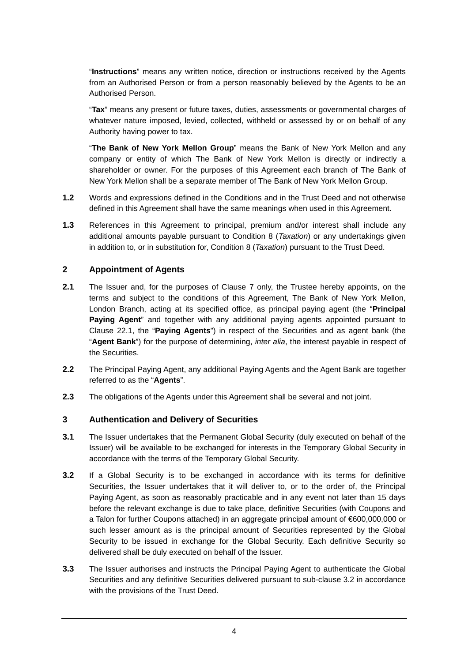"**Instructions**" means any written notice, direction or instructions received by the Agents from an Authorised Person or from a person reasonably believed by the Agents to be an Authorised Person.

"**Tax**" means any present or future taxes, duties, assessments or governmental charges of whatever nature imposed, levied, collected, withheld or assessed by or on behalf of any Authority having power to tax.

"**The Bank of New York Mellon Group**" means the Bank of New York Mellon and any company or entity of which The Bank of New York Mellon is directly or indirectly a shareholder or owner. For the purposes of this Agreement each branch of The Bank of New York Mellon shall be a separate member of The Bank of New York Mellon Group.

- **1.2** Words and expressions defined in the Conditions and in the Trust Deed and not otherwise defined in this Agreement shall have the same meanings when used in this Agreement.
- **1.3** References in this Agreement to principal, premium and/or interest shall include any additional amounts payable pursuant to Condition 8 (*Taxation*) or any undertakings given in addition to, or in substitution for, Condition 8 (*Taxation*) pursuant to the Trust Deed.

### **2 Appointment of Agents**

- **2.1** The Issuer and, for the purposes of Clause 7 only, the Trustee hereby appoints, on the terms and subject to the conditions of this Agreement, The Bank of New York Mellon, London Branch, acting at its specified office, as principal paying agent (the "**Principal Paying Agent**" and together with any additional paying agents appointed pursuant to Clause 22.1, the "**Paying Agents**") in respect of the Securities and as agent bank (the "**Agent Bank**") for the purpose of determining, *inter alia*, the interest payable in respect of the Securities.
- **2.2** The Principal Paying Agent, any additional Paying Agents and the Agent Bank are together referred to as the "**Agents**".
- **2.3** The obligations of the Agents under this Agreement shall be several and not joint.

### **3 Authentication and Delivery of Securities**

- **3.1** The Issuer undertakes that the Permanent Global Security (duly executed on behalf of the Issuer) will be available to be exchanged for interests in the Temporary Global Security in accordance with the terms of the Temporary Global Security.
- **3.2** If a Global Security is to be exchanged in accordance with its terms for definitive Securities, the Issuer undertakes that it will deliver to, or to the order of, the Principal Paying Agent, as soon as reasonably practicable and in any event not later than 15 days before the relevant exchange is due to take place, definitive Securities (with Coupons and a Talon for further Coupons attached) in an aggregate principal amount of €600,000,000 or such lesser amount as is the principal amount of Securities represented by the Global Security to be issued in exchange for the Global Security. Each definitive Security so delivered shall be duly executed on behalf of the Issuer.
- **3.3** The Issuer authorises and instructs the Principal Paying Agent to authenticate the Global Securities and any definitive Securities delivered pursuant to sub-clause 3.2 in accordance with the provisions of the Trust Deed.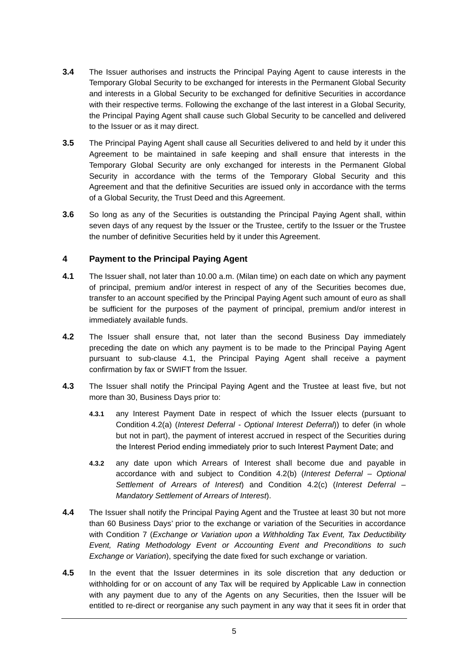- **3.4** The Issuer authorises and instructs the Principal Paying Agent to cause interests in the Temporary Global Security to be exchanged for interests in the Permanent Global Security and interests in a Global Security to be exchanged for definitive Securities in accordance with their respective terms. Following the exchange of the last interest in a Global Security, the Principal Paying Agent shall cause such Global Security to be cancelled and delivered to the Issuer or as it may direct.
- **3.5** The Principal Paying Agent shall cause all Securities delivered to and held by it under this Agreement to be maintained in safe keeping and shall ensure that interests in the Temporary Global Security are only exchanged for interests in the Permanent Global Security in accordance with the terms of the Temporary Global Security and this Agreement and that the definitive Securities are issued only in accordance with the terms of a Global Security, the Trust Deed and this Agreement.
- **3.6** So long as any of the Securities is outstanding the Principal Paying Agent shall, within seven days of any request by the Issuer or the Trustee, certify to the Issuer or the Trustee the number of definitive Securities held by it under this Agreement.

# **4 Payment to the Principal Paying Agent**

- **4.1** The Issuer shall, not later than 10.00 a.m. (Milan time) on each date on which any payment of principal, premium and/or interest in respect of any of the Securities becomes due, transfer to an account specified by the Principal Paying Agent such amount of euro as shall be sufficient for the purposes of the payment of principal, premium and/or interest in immediately available funds.
- **4.2** The Issuer shall ensure that, not later than the second Business Day immediately preceding the date on which any payment is to be made to the Principal Paying Agent pursuant to sub-clause 4.1, the Principal Paying Agent shall receive a payment confirmation by fax or SWIFT from the Issuer.
- **4.3** The Issuer shall notify the Principal Paying Agent and the Trustee at least five, but not more than 30, Business Days prior to:
	- **4.3.1** any Interest Payment Date in respect of which the Issuer elects (pursuant to Condition 4.2(a) (*Interest Deferral - Optional Interest Deferral*)) to defer (in whole but not in part), the payment of interest accrued in respect of the Securities during the Interest Period ending immediately prior to such Interest Payment Date; and
	- **4.3.2** any date upon which Arrears of Interest shall become due and payable in accordance with and subject to Condition 4.2(b) (*Interest Deferral – Optional Settlement of Arrears of Interest*) and Condition 4.2(c) (*Interest Deferral – Mandatory Settlement of Arrears of Interest*).
- **4.4** The Issuer shall notify the Principal Paying Agent and the Trustee at least 30 but not more than 60 Business Days' prior to the exchange or variation of the Securities in accordance with Condition 7 (*Exchange or Variation upon a Withholding Tax Event, Tax Deductibility Event, Rating Methodology Event or Accounting Event and Preconditions to such Exchange or Variation*), specifying the date fixed for such exchange or variation.
- **4.5** In the event that the Issuer determines in its sole discretion that any deduction or withholding for or on account of any Tax will be required by Applicable Law in connection with any payment due to any of the Agents on any Securities, then the Issuer will be entitled to re-direct or reorganise any such payment in any way that it sees fit in order that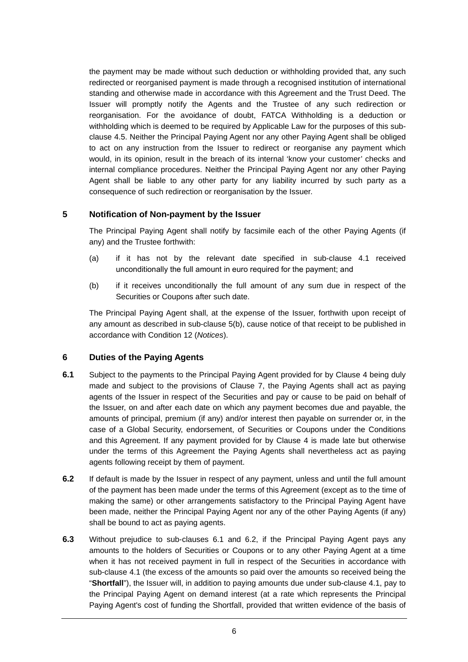the payment may be made without such deduction or withholding provided that, any such redirected or reorganised payment is made through a recognised institution of international standing and otherwise made in accordance with this Agreement and the Trust Deed. The Issuer will promptly notify the Agents and the Trustee of any such redirection or reorganisation. For the avoidance of doubt, FATCA Withholding is a deduction or withholding which is deemed to be required by Applicable Law for the purposes of this subclause 4.5. Neither the Principal Paying Agent nor any other Paying Agent shall be obliged to act on any instruction from the Issuer to redirect or reorganise any payment which would, in its opinion, result in the breach of its internal 'know your customer' checks and internal compliance procedures. Neither the Principal Paying Agent nor any other Paying Agent shall be liable to any other party for any liability incurred by such party as a consequence of such redirection or reorganisation by the Issuer.

### **5 Notification of Non-payment by the Issuer**

The Principal Paying Agent shall notify by facsimile each of the other Paying Agents (if any) and the Trustee forthwith:

- (a) if it has not by the relevant date specified in sub-clause 4.1 received unconditionally the full amount in euro required for the payment; and
- (b) if it receives unconditionally the full amount of any sum due in respect of the Securities or Coupons after such date.

The Principal Paying Agent shall, at the expense of the Issuer, forthwith upon receipt of any amount as described in sub-clause 5(b), cause notice of that receipt to be published in accordance with Condition 12 (*Notices*).

### **6 Duties of the Paying Agents**

- **6.1** Subject to the payments to the Principal Paying Agent provided for by Clause 4 being duly made and subject to the provisions of Clause 7, the Paying Agents shall act as paying agents of the Issuer in respect of the Securities and pay or cause to be paid on behalf of the Issuer, on and after each date on which any payment becomes due and payable, the amounts of principal, premium (if any) and/or interest then payable on surrender or, in the case of a Global Security, endorsement, of Securities or Coupons under the Conditions and this Agreement. If any payment provided for by Clause 4 is made late but otherwise under the terms of this Agreement the Paying Agents shall nevertheless act as paying agents following receipt by them of payment.
- **6.2** If default is made by the Issuer in respect of any payment, unless and until the full amount of the payment has been made under the terms of this Agreement (except as to the time of making the same) or other arrangements satisfactory to the Principal Paying Agent have been made, neither the Principal Paying Agent nor any of the other Paying Agents (if any) shall be bound to act as paying agents.
- **6.3** Without prejudice to sub-clauses 6.1 and 6.2, if the Principal Paying Agent pays any amounts to the holders of Securities or Coupons or to any other Paying Agent at a time when it has not received payment in full in respect of the Securities in accordance with sub-clause 4.1 (the excess of the amounts so paid over the amounts so received being the "**Shortfall**"), the Issuer will, in addition to paying amounts due under sub-clause 4.1, pay to the Principal Paying Agent on demand interest (at a rate which represents the Principal Paying Agent's cost of funding the Shortfall, provided that written evidence of the basis of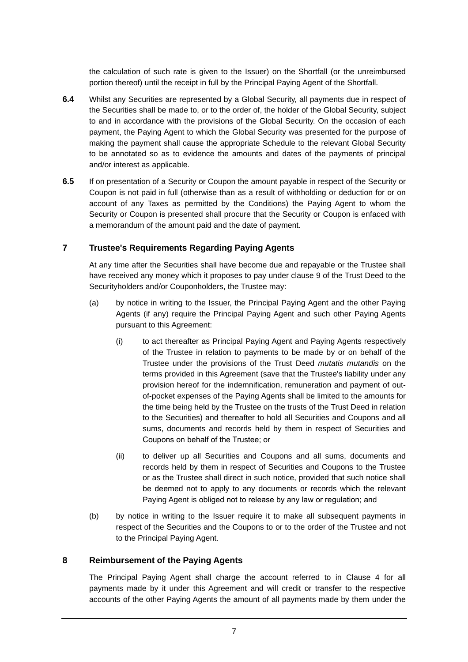the calculation of such rate is given to the Issuer) on the Shortfall (or the unreimbursed portion thereof) until the receipt in full by the Principal Paying Agent of the Shortfall.

- **6.4** Whilst any Securities are represented by a Global Security, all payments due in respect of the Securities shall be made to, or to the order of, the holder of the Global Security, subject to and in accordance with the provisions of the Global Security. On the occasion of each payment, the Paying Agent to which the Global Security was presented for the purpose of making the payment shall cause the appropriate Schedule to the relevant Global Security to be annotated so as to evidence the amounts and dates of the payments of principal and/or interest as applicable.
- **6.5** If on presentation of a Security or Coupon the amount payable in respect of the Security or Coupon is not paid in full (otherwise than as a result of withholding or deduction for or on account of any Taxes as permitted by the Conditions) the Paying Agent to whom the Security or Coupon is presented shall procure that the Security or Coupon is enfaced with a memorandum of the amount paid and the date of payment.

# **7 Trustee's Requirements Regarding Paying Agents**

At any time after the Securities shall have become due and repayable or the Trustee shall have received any money which it proposes to pay under clause 9 of the Trust Deed to the Securityholders and/or Couponholders, the Trustee may:

- (a) by notice in writing to the Issuer, the Principal Paying Agent and the other Paying Agents (if any) require the Principal Paying Agent and such other Paying Agents pursuant to this Agreement:
	- (i) to act thereafter as Principal Paying Agent and Paying Agents respectively of the Trustee in relation to payments to be made by or on behalf of the Trustee under the provisions of the Trust Deed *mutatis mutandis* on the terms provided in this Agreement (save that the Trustee's liability under any provision hereof for the indemnification, remuneration and payment of outof-pocket expenses of the Paying Agents shall be limited to the amounts for the time being held by the Trustee on the trusts of the Trust Deed in relation to the Securities) and thereafter to hold all Securities and Coupons and all sums, documents and records held by them in respect of Securities and Coupons on behalf of the Trustee; or
	- (ii) to deliver up all Securities and Coupons and all sums, documents and records held by them in respect of Securities and Coupons to the Trustee or as the Trustee shall direct in such notice, provided that such notice shall be deemed not to apply to any documents or records which the relevant Paying Agent is obliged not to release by any law or regulation; and
- (b) by notice in writing to the Issuer require it to make all subsequent payments in respect of the Securities and the Coupons to or to the order of the Trustee and not to the Principal Paying Agent.

# **8 Reimbursement of the Paying Agents**

The Principal Paying Agent shall charge the account referred to in Clause 4 for all payments made by it under this Agreement and will credit or transfer to the respective accounts of the other Paying Agents the amount of all payments made by them under the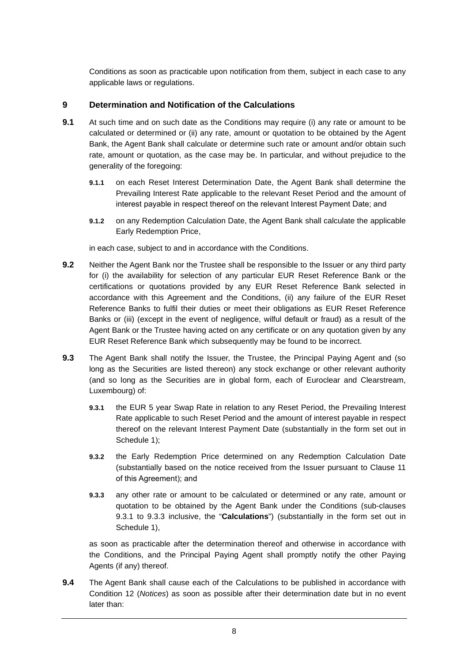Conditions as soon as practicable upon notification from them, subject in each case to any applicable laws or regulations.

### **9 Determination and Notification of the Calculations**

- **9.1** At such time and on such date as the Conditions may require (i) any rate or amount to be calculated or determined or (ii) any rate, amount or quotation to be obtained by the Agent Bank, the Agent Bank shall calculate or determine such rate or amount and/or obtain such rate, amount or quotation, as the case may be. In particular, and without prejudice to the generality of the foregoing:
	- **9.1.1** on each Reset Interest Determination Date, the Agent Bank shall determine the Prevailing Interest Rate applicable to the relevant Reset Period and the amount of interest payable in respect thereof on the relevant Interest Payment Date; and
	- **9.1.2** on any Redemption Calculation Date, the Agent Bank shall calculate the applicable Early Redemption Price,

in each case, subject to and in accordance with the Conditions.

- **9.2** Neither the Agent Bank nor the Trustee shall be responsible to the Issuer or any third party for (i) the availability for selection of any particular EUR Reset Reference Bank or the certifications or quotations provided by any EUR Reset Reference Bank selected in accordance with this Agreement and the Conditions, (ii) any failure of the EUR Reset Reference Banks to fulfil their duties or meet their obligations as EUR Reset Reference Banks or (iii) (except in the event of negligence, wilful default or fraud) as a result of the Agent Bank or the Trustee having acted on any certificate or on any quotation given by any EUR Reset Reference Bank which subsequently may be found to be incorrect.
- **9.3** The Agent Bank shall notify the Issuer, the Trustee, the Principal Paying Agent and (so long as the Securities are listed thereon) any stock exchange or other relevant authority (and so long as the Securities are in global form, each of Euroclear and Clearstream, Luxembourg) of:
	- **9.3.1** the EUR 5 year Swap Rate in relation to any Reset Period, the Prevailing Interest Rate applicable to such Reset Period and the amount of interest payable in respect thereof on the relevant Interest Payment Date (substantially in the form set out in Schedule 1);
	- **9.3.2** the Early Redemption Price determined on any Redemption Calculation Date (substantially based on the notice received from the Issuer pursuant to Clause 11 of this Agreement); and
	- **9.3.3** any other rate or amount to be calculated or determined or any rate, amount or quotation to be obtained by the Agent Bank under the Conditions (sub-clauses 9.3.1 to 9.3.3 inclusive, the "**Calculations**") (substantially in the form set out in Schedule 1),

as soon as practicable after the determination thereof and otherwise in accordance with the Conditions, and the Principal Paying Agent shall promptly notify the other Paying Agents (if any) thereof.

**9.4** The Agent Bank shall cause each of the Calculations to be published in accordance with Condition 12 (*Notices*) as soon as possible after their determination date but in no event later than: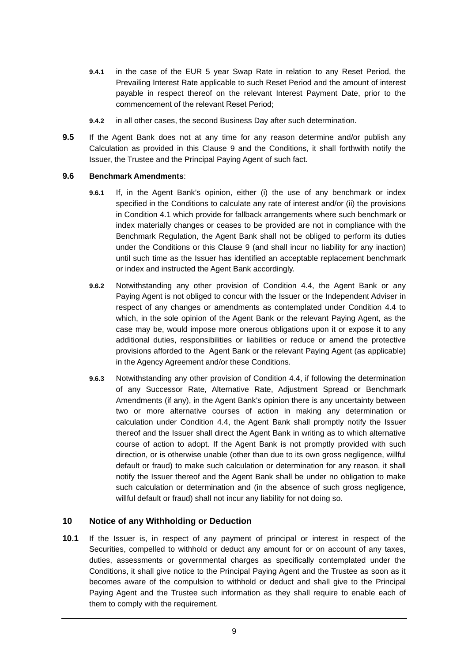- **9.4.1** in the case of the EUR 5 year Swap Rate in relation to any Reset Period, the Prevailing Interest Rate applicable to such Reset Period and the amount of interest payable in respect thereof on the relevant Interest Payment Date, prior to the commencement of the relevant Reset Period;
- **9.4.2** in all other cases, the second Business Day after such determination.
- **9.5** If the Agent Bank does not at any time for any reason determine and/or publish any Calculation as provided in this Clause 9 and the Conditions, it shall forthwith notify the Issuer, the Trustee and the Principal Paying Agent of such fact.

#### **9.6 Benchmark Amendments**:

- **9.6.1** If, in the Agent Bank's opinion, either (i) the use of any benchmark or index specified in the Conditions to calculate any rate of interest and/or (ii) the provisions in Condition 4.1 which provide for fallback arrangements where such benchmark or index materially changes or ceases to be provided are not in compliance with the Benchmark Regulation, the Agent Bank shall not be obliged to perform its duties under the Conditions or this Clause 9 (and shall incur no liability for any inaction) until such time as the Issuer has identified an acceptable replacement benchmark or index and instructed the Agent Bank accordingly.
- **9.6.2** Notwithstanding any other provision of Condition 4.4, the Agent Bank or any Paying Agent is not obliged to concur with the Issuer or the Independent Adviser in respect of any changes or amendments as contemplated under Condition 4.4 to which, in the sole opinion of the Agent Bank or the relevant Paying Agent, as the case may be, would impose more onerous obligations upon it or expose it to any additional duties, responsibilities or liabilities or reduce or amend the protective provisions afforded to the Agent Bank or the relevant Paying Agent (as applicable) in the Agency Agreement and/or these Conditions.
- **9.6.3** Notwithstanding any other provision of Condition 4.4, if following the determination of any Successor Rate, Alternative Rate, Adjustment Spread or Benchmark Amendments (if any), in the Agent Bank's opinion there is any uncertainty between two or more alternative courses of action in making any determination or calculation under Condition 4.4, the Agent Bank shall promptly notify the Issuer thereof and the Issuer shall direct the Agent Bank in writing as to which alternative course of action to adopt. If the Agent Bank is not promptly provided with such direction, or is otherwise unable (other than due to its own gross negligence, willful default or fraud) to make such calculation or determination for any reason, it shall notify the Issuer thereof and the Agent Bank shall be under no obligation to make such calculation or determination and (in the absence of such gross negligence, willful default or fraud) shall not incur any liability for not doing so.

# **10 Notice of any Withholding or Deduction**

**10.1** If the Issuer is, in respect of any payment of principal or interest in respect of the Securities, compelled to withhold or deduct any amount for or on account of any taxes, duties, assessments or governmental charges as specifically contemplated under the Conditions, it shall give notice to the Principal Paying Agent and the Trustee as soon as it becomes aware of the compulsion to withhold or deduct and shall give to the Principal Paying Agent and the Trustee such information as they shall require to enable each of them to comply with the requirement.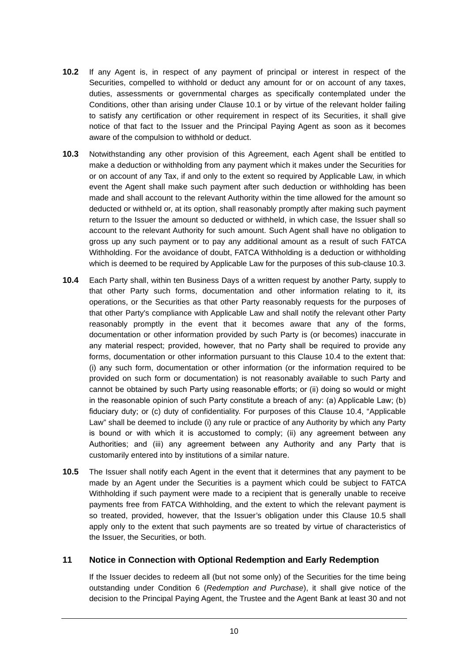- **10.2** If any Agent is, in respect of any payment of principal or interest in respect of the Securities, compelled to withhold or deduct any amount for or on account of any taxes, duties, assessments or governmental charges as specifically contemplated under the Conditions, other than arising under Clause 10.1 or by virtue of the relevant holder failing to satisfy any certification or other requirement in respect of its Securities, it shall give notice of that fact to the Issuer and the Principal Paying Agent as soon as it becomes aware of the compulsion to withhold or deduct.
- **10.3** Notwithstanding any other provision of this Agreement, each Agent shall be entitled to make a deduction or withholding from any payment which it makes under the Securities for or on account of any Tax, if and only to the extent so required by Applicable Law, in which event the Agent shall make such payment after such deduction or withholding has been made and shall account to the relevant Authority within the time allowed for the amount so deducted or withheld or, at its option, shall reasonably promptly after making such payment return to the Issuer the amount so deducted or withheld, in which case, the Issuer shall so account to the relevant Authority for such amount. Such Agent shall have no obligation to gross up any such payment or to pay any additional amount as a result of such FATCA Withholding. For the avoidance of doubt, FATCA Withholding is a deduction or withholding which is deemed to be required by Applicable Law for the purposes of this sub-clause 10.3.
- **10.4** Each Party shall, within ten Business Days of a written request by another Party, supply to that other Party such forms, documentation and other information relating to it, its operations, or the Securities as that other Party reasonably requests for the purposes of that other Party's compliance with Applicable Law and shall notify the relevant other Party reasonably promptly in the event that it becomes aware that any of the forms, documentation or other information provided by such Party is (or becomes) inaccurate in any material respect; provided, however, that no Party shall be required to provide any forms, documentation or other information pursuant to this Clause 10.4 to the extent that: (i) any such form, documentation or other information (or the information required to be provided on such form or documentation) is not reasonably available to such Party and cannot be obtained by such Party using reasonable efforts; or (ii) doing so would or might in the reasonable opinion of such Party constitute a breach of any: (a) Applicable Law; (b) fiduciary duty; or (c) duty of confidentiality. For purposes of this Clause 10.4, "Applicable Law" shall be deemed to include (i) any rule or practice of any Authority by which any Party is bound or with which it is accustomed to comply; (ii) any agreement between any Authorities; and (iii) any agreement between any Authority and any Party that is customarily entered into by institutions of a similar nature.
- **10.5** The Issuer shall notify each Agent in the event that it determines that any payment to be made by an Agent under the Securities is a payment which could be subject to FATCA Withholding if such payment were made to a recipient that is generally unable to receive payments free from FATCA Withholding, and the extent to which the relevant payment is so treated, provided, however, that the Issuer's obligation under this Clause 10.5 shall apply only to the extent that such payments are so treated by virtue of characteristics of the Issuer, the Securities, or both.

### **11 Notice in Connection with Optional Redemption and Early Redemption**

If the Issuer decides to redeem all (but not some only) of the Securities for the time being outstanding under Condition 6 (*Redemption and Purchase*), it shall give notice of the decision to the Principal Paying Agent, the Trustee and the Agent Bank at least 30 and not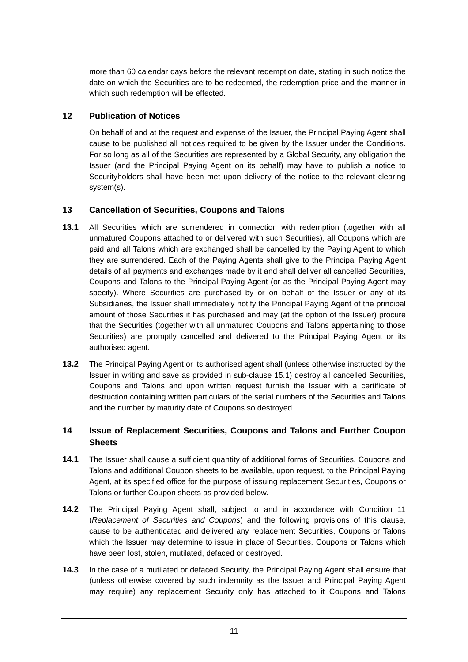more than 60 calendar days before the relevant redemption date, stating in such notice the date on which the Securities are to be redeemed, the redemption price and the manner in which such redemption will be effected.

## **12 Publication of Notices**

On behalf of and at the request and expense of the Issuer, the Principal Paying Agent shall cause to be published all notices required to be given by the Issuer under the Conditions. For so long as all of the Securities are represented by a Global Security, any obligation the Issuer (and the Principal Paying Agent on its behalf) may have to publish a notice to Securityholders shall have been met upon delivery of the notice to the relevant clearing system(s).

# **13 Cancellation of Securities, Coupons and Talons**

- **13.1** All Securities which are surrendered in connection with redemption (together with all unmatured Coupons attached to or delivered with such Securities), all Coupons which are paid and all Talons which are exchanged shall be cancelled by the Paying Agent to which they are surrendered. Each of the Paying Agents shall give to the Principal Paying Agent details of all payments and exchanges made by it and shall deliver all cancelled Securities, Coupons and Talons to the Principal Paying Agent (or as the Principal Paying Agent may specify). Where Securities are purchased by or on behalf of the Issuer or any of its Subsidiaries, the Issuer shall immediately notify the Principal Paying Agent of the principal amount of those Securities it has purchased and may (at the option of the Issuer) procure that the Securities (together with all unmatured Coupons and Talons appertaining to those Securities) are promptly cancelled and delivered to the Principal Paying Agent or its authorised agent.
- **13.2** The Principal Paying Agent or its authorised agent shall (unless otherwise instructed by the Issuer in writing and save as provided in sub-clause 15.1) destroy all cancelled Securities, Coupons and Talons and upon written request furnish the Issuer with a certificate of destruction containing written particulars of the serial numbers of the Securities and Talons and the number by maturity date of Coupons so destroyed.

# **14 Issue of Replacement Securities, Coupons and Talons and Further Coupon Sheets**

- **14.1** The Issuer shall cause a sufficient quantity of additional forms of Securities, Coupons and Talons and additional Coupon sheets to be available, upon request, to the Principal Paying Agent, at its specified office for the purpose of issuing replacement Securities, Coupons or Talons or further Coupon sheets as provided below.
- **14.2** The Principal Paying Agent shall, subject to and in accordance with Condition 11 (*Replacement of Securities and Coupons*) and the following provisions of this clause, cause to be authenticated and delivered any replacement Securities, Coupons or Talons which the Issuer may determine to issue in place of Securities, Coupons or Talons which have been lost, stolen, mutilated, defaced or destroyed.
- **14.3** In the case of a mutilated or defaced Security, the Principal Paying Agent shall ensure that (unless otherwise covered by such indemnity as the Issuer and Principal Paying Agent may require) any replacement Security only has attached to it Coupons and Talons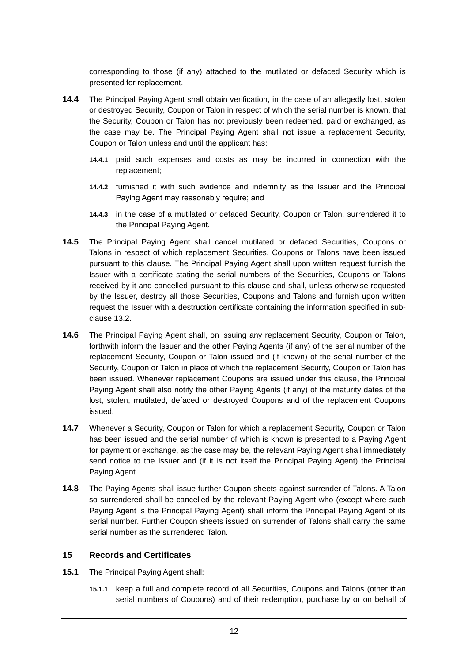corresponding to those (if any) attached to the mutilated or defaced Security which is presented for replacement.

- **14.4** The Principal Paying Agent shall obtain verification, in the case of an allegedly lost, stolen or destroyed Security, Coupon or Talon in respect of which the serial number is known, that the Security, Coupon or Talon has not previously been redeemed, paid or exchanged, as the case may be. The Principal Paying Agent shall not issue a replacement Security, Coupon or Talon unless and until the applicant has:
	- **14.4.1** paid such expenses and costs as may be incurred in connection with the replacement;
	- **14.4.2** furnished it with such evidence and indemnity as the Issuer and the Principal Paying Agent may reasonably require; and
	- **14.4.3** in the case of a mutilated or defaced Security, Coupon or Talon, surrendered it to the Principal Paying Agent.
- **14.5** The Principal Paying Agent shall cancel mutilated or defaced Securities, Coupons or Talons in respect of which replacement Securities, Coupons or Talons have been issued pursuant to this clause. The Principal Paying Agent shall upon written request furnish the Issuer with a certificate stating the serial numbers of the Securities, Coupons or Talons received by it and cancelled pursuant to this clause and shall, unless otherwise requested by the Issuer, destroy all those Securities, Coupons and Talons and furnish upon written request the Issuer with a destruction certificate containing the information specified in subclause 13.2.
- **14.6** The Principal Paying Agent shall, on issuing any replacement Security, Coupon or Talon, forthwith inform the Issuer and the other Paying Agents (if any) of the serial number of the replacement Security, Coupon or Talon issued and (if known) of the serial number of the Security, Coupon or Talon in place of which the replacement Security, Coupon or Talon has been issued. Whenever replacement Coupons are issued under this clause, the Principal Paying Agent shall also notify the other Paying Agents (if any) of the maturity dates of the lost, stolen, mutilated, defaced or destroyed Coupons and of the replacement Coupons issued.
- **14.7** Whenever a Security, Coupon or Talon for which a replacement Security, Coupon or Talon has been issued and the serial number of which is known is presented to a Paying Agent for payment or exchange, as the case may be, the relevant Paying Agent shall immediately send notice to the Issuer and (if it is not itself the Principal Paying Agent) the Principal Paying Agent.
- **14.8** The Paying Agents shall issue further Coupon sheets against surrender of Talons. A Talon so surrendered shall be cancelled by the relevant Paying Agent who (except where such Paying Agent is the Principal Paying Agent) shall inform the Principal Paying Agent of its serial number. Further Coupon sheets issued on surrender of Talons shall carry the same serial number as the surrendered Talon.

### **15 Records and Certificates**

- **15.1** The Principal Paying Agent shall:
	- **15.1.1** keep a full and complete record of all Securities, Coupons and Talons (other than serial numbers of Coupons) and of their redemption, purchase by or on behalf of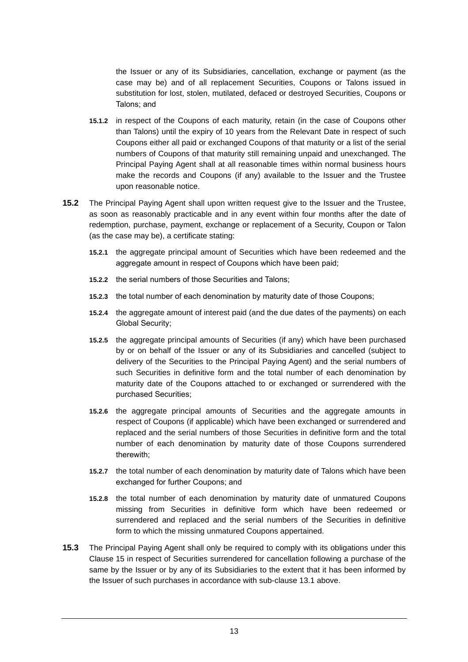the Issuer or any of its Subsidiaries, cancellation, exchange or payment (as the case may be) and of all replacement Securities, Coupons or Talons issued in substitution for lost, stolen, mutilated, defaced or destroyed Securities, Coupons or Talons; and

- **15.1.2** in respect of the Coupons of each maturity, retain (in the case of Coupons other than Talons) until the expiry of 10 years from the Relevant Date in respect of such Coupons either all paid or exchanged Coupons of that maturity or a list of the serial numbers of Coupons of that maturity still remaining unpaid and unexchanged. The Principal Paying Agent shall at all reasonable times within normal business hours make the records and Coupons (if any) available to the Issuer and the Trustee upon reasonable notice.
- **15.2** The Principal Paying Agent shall upon written request give to the Issuer and the Trustee, as soon as reasonably practicable and in any event within four months after the date of redemption, purchase, payment, exchange or replacement of a Security, Coupon or Talon (as the case may be), a certificate stating:
	- **15.2.1** the aggregate principal amount of Securities which have been redeemed and the aggregate amount in respect of Coupons which have been paid;
	- **15.2.2** the serial numbers of those Securities and Talons;
	- **15.2.3** the total number of each denomination by maturity date of those Coupons;
	- **15.2.4** the aggregate amount of interest paid (and the due dates of the payments) on each Global Security;
	- **15.2.5** the aggregate principal amounts of Securities (if any) which have been purchased by or on behalf of the Issuer or any of its Subsidiaries and cancelled (subject to delivery of the Securities to the Principal Paying Agent) and the serial numbers of such Securities in definitive form and the total number of each denomination by maturity date of the Coupons attached to or exchanged or surrendered with the purchased Securities;
	- **15.2.6** the aggregate principal amounts of Securities and the aggregate amounts in respect of Coupons (if applicable) which have been exchanged or surrendered and replaced and the serial numbers of those Securities in definitive form and the total number of each denomination by maturity date of those Coupons surrendered therewith;
	- **15.2.7** the total number of each denomination by maturity date of Talons which have been exchanged for further Coupons; and
	- **15.2.8** the total number of each denomination by maturity date of unmatured Coupons missing from Securities in definitive form which have been redeemed or surrendered and replaced and the serial numbers of the Securities in definitive form to which the missing unmatured Coupons appertained.
- **15.3** The Principal Paying Agent shall only be required to comply with its obligations under this Clause 15 in respect of Securities surrendered for cancellation following a purchase of the same by the Issuer or by any of its Subsidiaries to the extent that it has been informed by the Issuer of such purchases in accordance with sub-clause 13.1 above.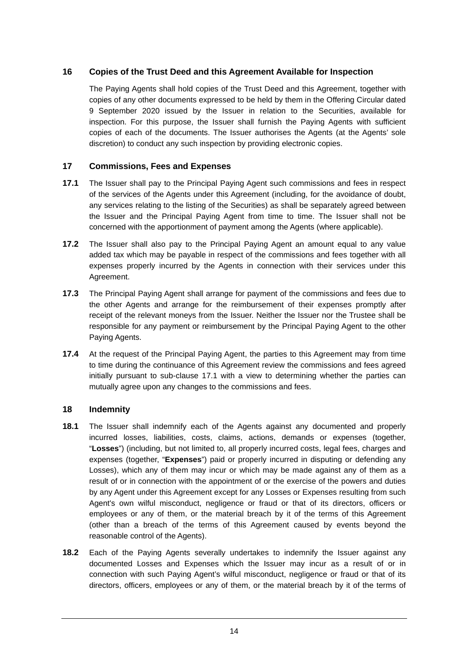# **16 Copies of the Trust Deed and this Agreement Available for Inspection**

The Paying Agents shall hold copies of the Trust Deed and this Agreement, together with copies of any other documents expressed to be held by them in the Offering Circular dated 9 September 2020 issued by the Issuer in relation to the Securities, available for inspection. For this purpose, the Issuer shall furnish the Paying Agents with sufficient copies of each of the documents. The Issuer authorises the Agents (at the Agents' sole discretion) to conduct any such inspection by providing electronic copies.

### **17 Commissions, Fees and Expenses**

- **17.1** The Issuer shall pay to the Principal Paying Agent such commissions and fees in respect of the services of the Agents under this Agreement (including, for the avoidance of doubt, any services relating to the listing of the Securities) as shall be separately agreed between the Issuer and the Principal Paying Agent from time to time. The Issuer shall not be concerned with the apportionment of payment among the Agents (where applicable).
- **17.2** The Issuer shall also pay to the Principal Paying Agent an amount equal to any value added tax which may be payable in respect of the commissions and fees together with all expenses properly incurred by the Agents in connection with their services under this Agreement.
- **17.3** The Principal Paying Agent shall arrange for payment of the commissions and fees due to the other Agents and arrange for the reimbursement of their expenses promptly after receipt of the relevant moneys from the Issuer. Neither the Issuer nor the Trustee shall be responsible for any payment or reimbursement by the Principal Paying Agent to the other Paying Agents.
- **17.4** At the request of the Principal Paying Agent, the parties to this Agreement may from time to time during the continuance of this Agreement review the commissions and fees agreed initially pursuant to sub-clause 17.1 with a view to determining whether the parties can mutually agree upon any changes to the commissions and fees.

### **18 Indemnity**

- **18.1** The Issuer shall indemnify each of the Agents against any documented and properly incurred losses, liabilities, costs, claims, actions, demands or expenses (together, "**Losses**") (including, but not limited to, all properly incurred costs, legal fees, charges and expenses (together, "**Expenses**") paid or properly incurred in disputing or defending any Losses), which any of them may incur or which may be made against any of them as a result of or in connection with the appointment of or the exercise of the powers and duties by any Agent under this Agreement except for any Losses or Expenses resulting from such Agent's own wilful misconduct, negligence or fraud or that of its directors, officers or employees or any of them, or the material breach by it of the terms of this Agreement (other than a breach of the terms of this Agreement caused by events beyond the reasonable control of the Agents).
- **18.2** Each of the Paying Agents severally undertakes to indemnify the Issuer against any documented Losses and Expenses which the Issuer may incur as a result of or in connection with such Paying Agent's wilful misconduct, negligence or fraud or that of its directors, officers, employees or any of them, or the material breach by it of the terms of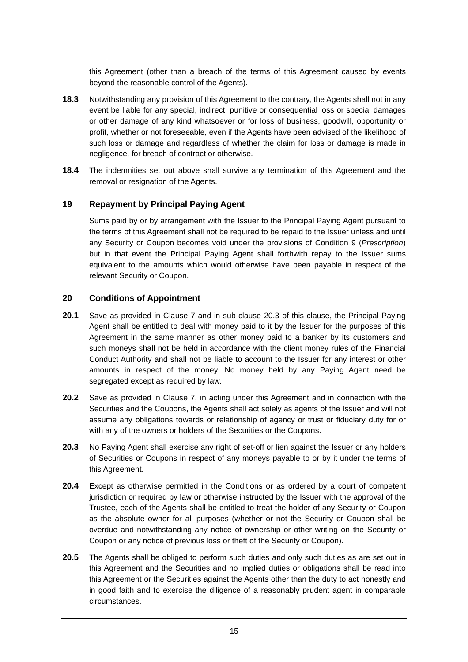this Agreement (other than a breach of the terms of this Agreement caused by events beyond the reasonable control of the Agents).

- **18.3** Notwithstanding any provision of this Agreement to the contrary, the Agents shall not in any event be liable for any special, indirect, punitive or consequential loss or special damages or other damage of any kind whatsoever or for loss of business, goodwill, opportunity or profit, whether or not foreseeable, even if the Agents have been advised of the likelihood of such loss or damage and regardless of whether the claim for loss or damage is made in negligence, for breach of contract or otherwise.
- **18.4** The indemnities set out above shall survive any termination of this Agreement and the removal or resignation of the Agents.

### **19 Repayment by Principal Paying Agent**

Sums paid by or by arrangement with the Issuer to the Principal Paying Agent pursuant to the terms of this Agreement shall not be required to be repaid to the Issuer unless and until any Security or Coupon becomes void under the provisions of Condition 9 (*Prescription*) but in that event the Principal Paying Agent shall forthwith repay to the Issuer sums equivalent to the amounts which would otherwise have been payable in respect of the relevant Security or Coupon.

### **20 Conditions of Appointment**

- **20.1** Save as provided in Clause 7 and in sub-clause 20.3 of this clause, the Principal Paying Agent shall be entitled to deal with money paid to it by the Issuer for the purposes of this Agreement in the same manner as other money paid to a banker by its customers and such moneys shall not be held in accordance with the client money rules of the Financial Conduct Authority and shall not be liable to account to the Issuer for any interest or other amounts in respect of the money. No money held by any Paying Agent need be segregated except as required by law.
- **20.2** Save as provided in Clause 7, in acting under this Agreement and in connection with the Securities and the Coupons, the Agents shall act solely as agents of the Issuer and will not assume any obligations towards or relationship of agency or trust or fiduciary duty for or with any of the owners or holders of the Securities or the Coupons.
- **20.3** No Paying Agent shall exercise any right of set-off or lien against the Issuer or any holders of Securities or Coupons in respect of any moneys payable to or by it under the terms of this Agreement.
- **20.4** Except as otherwise permitted in the Conditions or as ordered by a court of competent jurisdiction or required by law or otherwise instructed by the Issuer with the approval of the Trustee, each of the Agents shall be entitled to treat the holder of any Security or Coupon as the absolute owner for all purposes (whether or not the Security or Coupon shall be overdue and notwithstanding any notice of ownership or other writing on the Security or Coupon or any notice of previous loss or theft of the Security or Coupon).
- **20.5** The Agents shall be obliged to perform such duties and only such duties as are set out in this Agreement and the Securities and no implied duties or obligations shall be read into this Agreement or the Securities against the Agents other than the duty to act honestly and in good faith and to exercise the diligence of a reasonably prudent agent in comparable circumstances.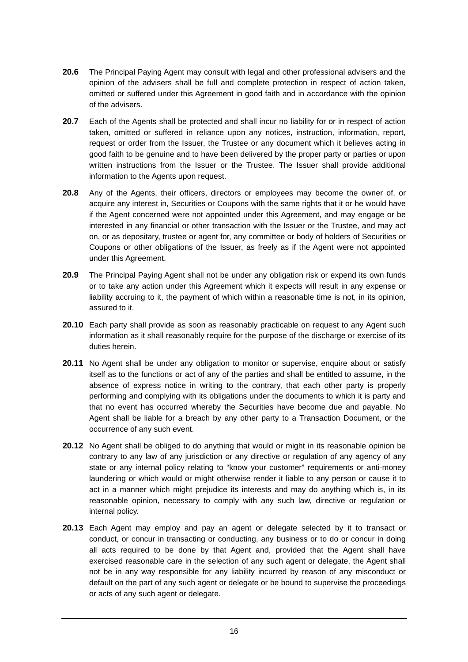- **20.6** The Principal Paying Agent may consult with legal and other professional advisers and the opinion of the advisers shall be full and complete protection in respect of action taken, omitted or suffered under this Agreement in good faith and in accordance with the opinion of the advisers.
- **20.7** Each of the Agents shall be protected and shall incur no liability for or in respect of action taken, omitted or suffered in reliance upon any notices, instruction, information, report, request or order from the Issuer, the Trustee or any document which it believes acting in good faith to be genuine and to have been delivered by the proper party or parties or upon written instructions from the Issuer or the Trustee. The Issuer shall provide additional information to the Agents upon request.
- **20.8** Any of the Agents, their officers, directors or employees may become the owner of, or acquire any interest in, Securities or Coupons with the same rights that it or he would have if the Agent concerned were not appointed under this Agreement, and may engage or be interested in any financial or other transaction with the Issuer or the Trustee, and may act on, or as depositary, trustee or agent for, any committee or body of holders of Securities or Coupons or other obligations of the Issuer, as freely as if the Agent were not appointed under this Agreement.
- **20.9** The Principal Paying Agent shall not be under any obligation risk or expend its own funds or to take any action under this Agreement which it expects will result in any expense or liability accruing to it, the payment of which within a reasonable time is not, in its opinion, assured to it.
- **20.10** Each party shall provide as soon as reasonably practicable on request to any Agent such information as it shall reasonably require for the purpose of the discharge or exercise of its duties herein.
- **20.11** No Agent shall be under any obligation to monitor or supervise, enquire about or satisfy itself as to the functions or act of any of the parties and shall be entitled to assume, in the absence of express notice in writing to the contrary, that each other party is properly performing and complying with its obligations under the documents to which it is party and that no event has occurred whereby the Securities have become due and payable. No Agent shall be liable for a breach by any other party to a Transaction Document, or the occurrence of any such event.
- **20.12** No Agent shall be obliged to do anything that would or might in its reasonable opinion be contrary to any law of any jurisdiction or any directive or regulation of any agency of any state or any internal policy relating to "know your customer" requirements or anti-money laundering or which would or might otherwise render it liable to any person or cause it to act in a manner which might prejudice its interests and may do anything which is, in its reasonable opinion, necessary to comply with any such law, directive or regulation or internal policy.
- **20.13** Each Agent may employ and pay an agent or delegate selected by it to transact or conduct, or concur in transacting or conducting, any business or to do or concur in doing all acts required to be done by that Agent and, provided that the Agent shall have exercised reasonable care in the selection of any such agent or delegate, the Agent shall not be in any way responsible for any liability incurred by reason of any misconduct or default on the part of any such agent or delegate or be bound to supervise the proceedings or acts of any such agent or delegate.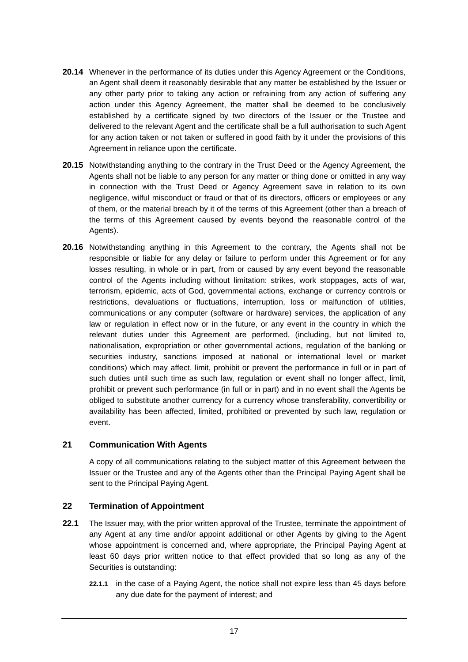- **20.14** Whenever in the performance of its duties under this Agency Agreement or the Conditions, an Agent shall deem it reasonably desirable that any matter be established by the Issuer or any other party prior to taking any action or refraining from any action of suffering any action under this Agency Agreement, the matter shall be deemed to be conclusively established by a certificate signed by two directors of the Issuer or the Trustee and delivered to the relevant Agent and the certificate shall be a full authorisation to such Agent for any action taken or not taken or suffered in good faith by it under the provisions of this Agreement in reliance upon the certificate.
- **20.15** Notwithstanding anything to the contrary in the Trust Deed or the Agency Agreement, the Agents shall not be liable to any person for any matter or thing done or omitted in any way in connection with the Trust Deed or Agency Agreement save in relation to its own negligence, wilful misconduct or fraud or that of its directors, officers or employees or any of them, or the material breach by it of the terms of this Agreement (other than a breach of the terms of this Agreement caused by events beyond the reasonable control of the Agents).
- **20.16** Notwithstanding anything in this Agreement to the contrary, the Agents shall not be responsible or liable for any delay or failure to perform under this Agreement or for any losses resulting, in whole or in part, from or caused by any event beyond the reasonable control of the Agents including without limitation: strikes, work stoppages, acts of war, terrorism, epidemic, acts of God, governmental actions, exchange or currency controls or restrictions, devaluations or fluctuations, interruption, loss or malfunction of utilities, communications or any computer (software or hardware) services, the application of any law or regulation in effect now or in the future, or any event in the country in which the relevant duties under this Agreement are performed, (including, but not limited to, nationalisation, expropriation or other governmental actions, regulation of the banking or securities industry, sanctions imposed at national or international level or market conditions) which may affect, limit, prohibit or prevent the performance in full or in part of such duties until such time as such law, regulation or event shall no longer affect, limit, prohibit or prevent such performance (in full or in part) and in no event shall the Agents be obliged to substitute another currency for a currency whose transferability, convertibility or availability has been affected, limited, prohibited or prevented by such law, regulation or event.

### **21 Communication With Agents**

A copy of all communications relating to the subject matter of this Agreement between the Issuer or the Trustee and any of the Agents other than the Principal Paying Agent shall be sent to the Principal Paying Agent.

### **22 Termination of Appointment**

- **22.1** The Issuer may, with the prior written approval of the Trustee, terminate the appointment of any Agent at any time and/or appoint additional or other Agents by giving to the Agent whose appointment is concerned and, where appropriate, the Principal Paying Agent at least 60 days prior written notice to that effect provided that so long as any of the Securities is outstanding:
	- **22.1.1** in the case of a Paying Agent, the notice shall not expire less than 45 days before any due date for the payment of interest; and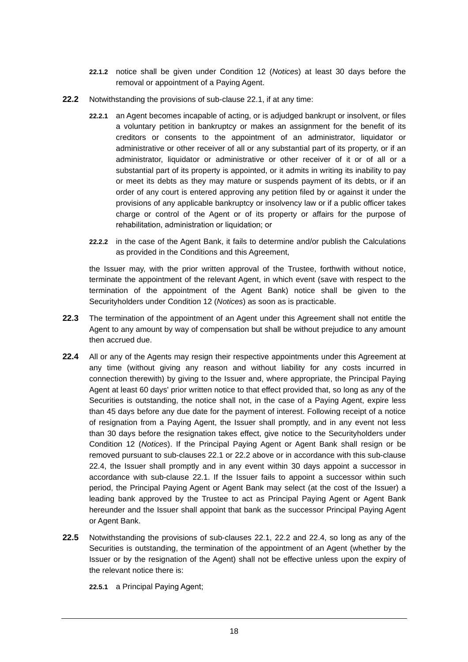- **22.1.2** notice shall be given under Condition 12 (*Notices*) at least 30 days before the removal or appointment of a Paying Agent.
- **22.2** Notwithstanding the provisions of sub-clause 22.1, if at any time:
	- **22.2.1** an Agent becomes incapable of acting, or is adjudged bankrupt or insolvent, or files a voluntary petition in bankruptcy or makes an assignment for the benefit of its creditors or consents to the appointment of an administrator, liquidator or administrative or other receiver of all or any substantial part of its property, or if an administrator, liquidator or administrative or other receiver of it or of all or a substantial part of its property is appointed, or it admits in writing its inability to pay or meet its debts as they may mature or suspends payment of its debts, or if an order of any court is entered approving any petition filed by or against it under the provisions of any applicable bankruptcy or insolvency law or if a public officer takes charge or control of the Agent or of its property or affairs for the purpose of rehabilitation, administration or liquidation; or
	- **22.2.2** in the case of the Agent Bank, it fails to determine and/or publish the Calculations as provided in the Conditions and this Agreement,

the Issuer may, with the prior written approval of the Trustee, forthwith without notice, terminate the appointment of the relevant Agent, in which event (save with respect to the termination of the appointment of the Agent Bank) notice shall be given to the Securityholders under Condition 12 (*Notices*) as soon as is practicable.

- **22.3** The termination of the appointment of an Agent under this Agreement shall not entitle the Agent to any amount by way of compensation but shall be without prejudice to any amount then accrued due.
- **22.4** All or any of the Agents may resign their respective appointments under this Agreement at any time (without giving any reason and without liability for any costs incurred in connection therewith) by giving to the Issuer and, where appropriate, the Principal Paying Agent at least 60 days' prior written notice to that effect provided that, so long as any of the Securities is outstanding, the notice shall not, in the case of a Paying Agent, expire less than 45 days before any due date for the payment of interest. Following receipt of a notice of resignation from a Paying Agent, the Issuer shall promptly, and in any event not less than 30 days before the resignation takes effect, give notice to the Securityholders under Condition 12 (*Notices*). If the Principal Paying Agent or Agent Bank shall resign or be removed pursuant to sub-clauses 22.1 or 22.2 above or in accordance with this sub-clause 22.4, the Issuer shall promptly and in any event within 30 days appoint a successor in accordance with sub-clause 22.1. If the Issuer fails to appoint a successor within such period, the Principal Paying Agent or Agent Bank may select (at the cost of the Issuer) a leading bank approved by the Trustee to act as Principal Paying Agent or Agent Bank hereunder and the Issuer shall appoint that bank as the successor Principal Paying Agent or Agent Bank.
- **22.5** Notwithstanding the provisions of sub-clauses 22.1, 22.2 and 22.4, so long as any of the Securities is outstanding, the termination of the appointment of an Agent (whether by the Issuer or by the resignation of the Agent) shall not be effective unless upon the expiry of the relevant notice there is:

**22.5.1** a Principal Paying Agent;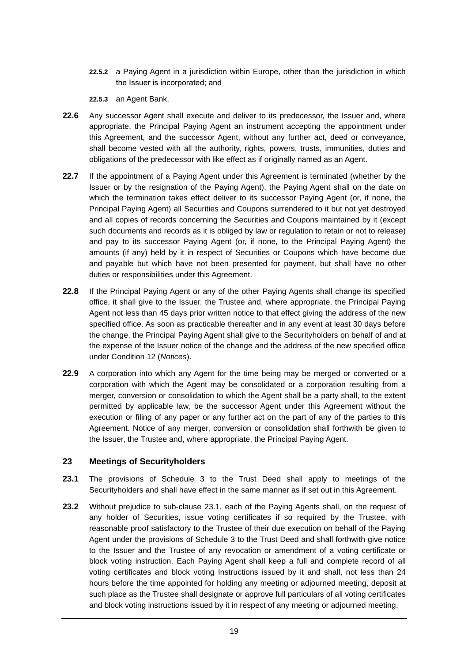- **22.5.2** a Paying Agent in a jurisdiction within Europe, other than the jurisdiction in which the Issuer is incorporated; and
- **22.5.3** an Agent Bank.
- **22.6** Any successor Agent shall execute and deliver to its predecessor, the Issuer and, where appropriate, the Principal Paying Agent an instrument accepting the appointment under this Agreement, and the successor Agent, without any further act, deed or conveyance, shall become vested with all the authority, rights, powers, trusts, immunities, duties and obligations of the predecessor with like effect as if originally named as an Agent.
- **22.7** If the appointment of a Paying Agent under this Agreement is terminated (whether by the Issuer or by the resignation of the Paying Agent), the Paying Agent shall on the date on which the termination takes effect deliver to its successor Paying Agent (or, if none, the Principal Paying Agent) all Securities and Coupons surrendered to it but not yet destroyed and all copies of records concerning the Securities and Coupons maintained by it (except such documents and records as it is obliged by law or regulation to retain or not to release) and pay to its successor Paying Agent (or, if none, to the Principal Paying Agent) the amounts (if any) held by it in respect of Securities or Coupons which have become due and payable but which have not been presented for payment, but shall have no other duties or responsibilities under this Agreement.
- **22.8** If the Principal Paying Agent or any of the other Paying Agents shall change its specified office, it shall give to the Issuer, the Trustee and, where appropriate, the Principal Paying Agent not less than 45 days prior written notice to that effect giving the address of the new specified office. As soon as practicable thereafter and in any event at least 30 days before the change, the Principal Paying Agent shall give to the Securityholders on behalf of and at the expense of the Issuer notice of the change and the address of the new specified office under Condition 12 (*Notices*).
- **22.9** A corporation into which any Agent for the time being may be merged or converted or a corporation with which the Agent may be consolidated or a corporation resulting from a merger, conversion or consolidation to which the Agent shall be a party shall, to the extent permitted by applicable law, be the successor Agent under this Agreement without the execution or filing of any paper or any further act on the part of any of the parties to this Agreement. Notice of any merger, conversion or consolidation shall forthwith be given to the Issuer, the Trustee and, where appropriate, the Principal Paying Agent.

### **23 Meetings of Securityholders**

- **23.1** The provisions of Schedule 3 to the Trust Deed shall apply to meetings of the Securityholders and shall have effect in the same manner as if set out in this Agreement.
- **23.2** Without prejudice to sub-clause 23.1, each of the Paying Agents shall, on the request of any holder of Securities, issue voting certificates if so required by the Trustee, with reasonable proof satisfactory to the Trustee of their due execution on behalf of the Paying Agent under the provisions of Schedule 3 to the Trust Deed and shall forthwith give notice to the Issuer and the Trustee of any revocation or amendment of a voting certificate or block voting instruction. Each Paying Agent shall keep a full and complete record of all voting certificates and block voting Instructions issued by it and shall, not less than 24 hours before the time appointed for holding any meeting or adjourned meeting, deposit at such place as the Trustee shall designate or approve full particulars of all voting certificates and block voting instructions issued by it in respect of any meeting or adjourned meeting.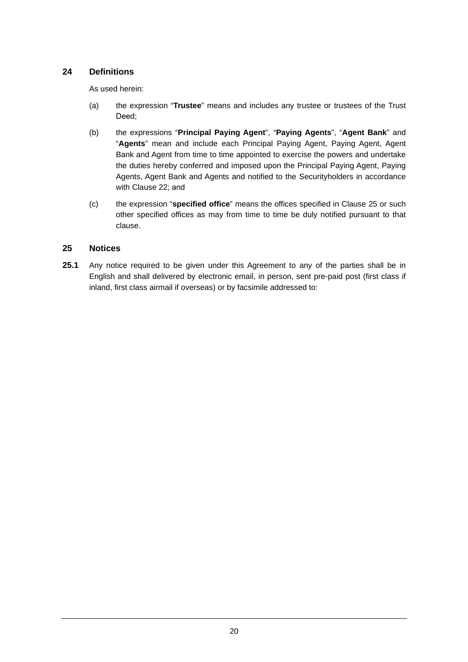# **24 Definitions**

As used herein:

- (a) the expression "**Trustee**" means and includes any trustee or trustees of the Trust Deed;
- (b) the expressions "**Principal Paying Agent**", "**Paying Agents**", "**Agent Bank**" and "**Agents**" mean and include each Principal Paying Agent, Paying Agent, Agent Bank and Agent from time to time appointed to exercise the powers and undertake the duties hereby conferred and imposed upon the Principal Paying Agent, Paying Agents, Agent Bank and Agents and notified to the Securityholders in accordance with Clause 22; and
- (c) the expression "**specified office**" means the offices specified in Clause 25 or such other specified offices as may from time to time be duly notified pursuant to that clause.

### **25 Notices**

**25.1** Any notice required to be given under this Agreement to any of the parties shall be in English and shall delivered by electronic email, in person, sent pre-paid post (first class if inland, first class airmail if overseas) or by facsimile addressed to: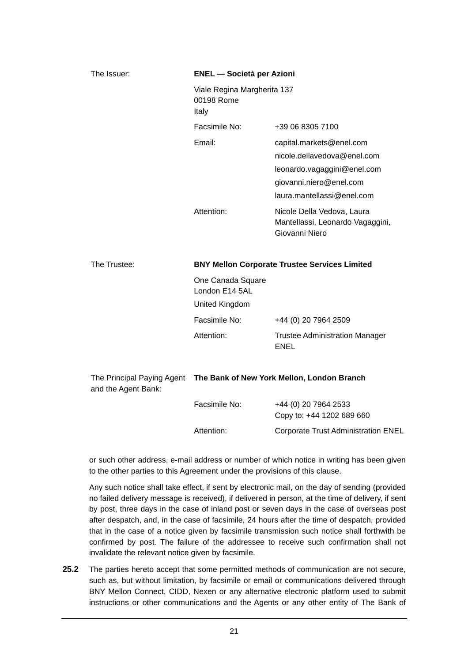| The Issuer:  | <b>ENEL</b> - Società per Azioni<br>Viale Regina Margherita 137<br>00198 Rome<br>Italy |                                                                                                                                                 |  |
|--------------|----------------------------------------------------------------------------------------|-------------------------------------------------------------------------------------------------------------------------------------------------|--|
|              |                                                                                        |                                                                                                                                                 |  |
|              | Facsimile No:                                                                          | +39 06 8305 7100                                                                                                                                |  |
|              | Email:                                                                                 | capital.markets@enel.com<br>nicole.dellavedova@enel.com<br>leonardo.vagaggini@enel.com<br>giovanni.niero@enel.com<br>laura.mantellassi@enel.com |  |
|              | Attention:                                                                             | Nicole Della Vedova, Laura<br>Mantellassi, Leonardo Vagaggini,<br>Giovanni Niero                                                                |  |
| The Trustee: | <b>BNY Mellon Corporate Trustee Services Limited</b>                                   |                                                                                                                                                 |  |

| . | $\blacksquare$    |
|---|-------------------|
|   | One Canada Square |

| .              |                                               |
|----------------|-----------------------------------------------|
| London E14 5AL |                                               |
| United Kingdom |                                               |
| Facsimile No:  | +44 (0) 20 7964 2509                          |
| Attention:     | <b>Trustee Administration Manager</b><br>ENEL |

| The Principal Paying Agent<br>and the Agent Bank: | The Bank of New York Mellon, London Branch |                                                   |
|---------------------------------------------------|--------------------------------------------|---------------------------------------------------|
|                                                   | Facsimile No:                              | +44 (0) 20 7964 2533<br>Copy to: +44 1202 689 660 |
|                                                   | Attention:                                 | <b>Corporate Trust Administration ENEL</b>        |

or such other address, e-mail address or number of which notice in writing has been given to the other parties to this Agreement under the provisions of this clause.

Any such notice shall take effect, if sent by electronic mail, on the day of sending (provided no failed delivery message is received), if delivered in person, at the time of delivery, if sent by post, three days in the case of inland post or seven days in the case of overseas post after despatch, and, in the case of facsimile, 24 hours after the time of despatch, provided that in the case of a notice given by facsimile transmission such notice shall forthwith be confirmed by post. The failure of the addressee to receive such confirmation shall not invalidate the relevant notice given by facsimile.

**25.2** The parties hereto accept that some permitted methods of communication are not secure, such as, but without limitation, by facsimile or email or communications delivered through BNY Mellon Connect, CIDD, Nexen or any alternative electronic platform used to submit instructions or other communications and the Agents or any other entity of The Bank of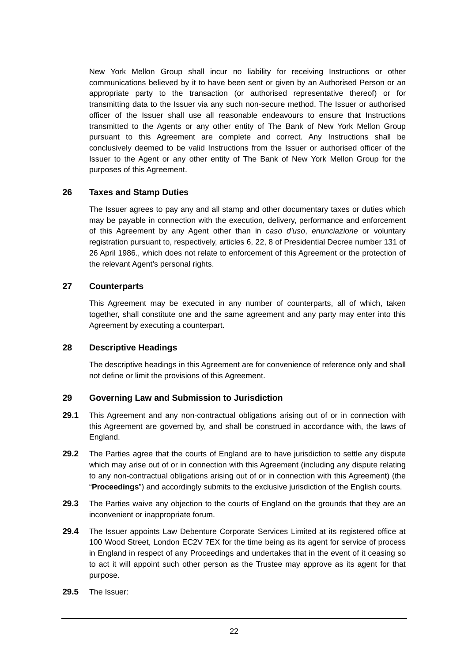New York Mellon Group shall incur no liability for receiving Instructions or other communications believed by it to have been sent or given by an Authorised Person or an appropriate party to the transaction (or authorised representative thereof) or for transmitting data to the Issuer via any such non-secure method. The Issuer or authorised officer of the Issuer shall use all reasonable endeavours to ensure that Instructions transmitted to the Agents or any other entity of The Bank of New York Mellon Group pursuant to this Agreement are complete and correct. Any Instructions shall be conclusively deemed to be valid Instructions from the Issuer or authorised officer of the Issuer to the Agent or any other entity of The Bank of New York Mellon Group for the purposes of this Agreement.

### **26 Taxes and Stamp Duties**

The Issuer agrees to pay any and all stamp and other documentary taxes or duties which may be payable in connection with the execution, delivery, performance and enforcement of this Agreement by any Agent other than in *caso d'uso*, *enunciazione* or voluntary registration pursuant to, respectively, articles 6, 22, 8 of Presidential Decree number 131 of 26 April 1986., which does not relate to enforcement of this Agreement or the protection of the relevant Agent's personal rights.

#### **27 Counterparts**

This Agreement may be executed in any number of counterparts, all of which, taken together, shall constitute one and the same agreement and any party may enter into this Agreement by executing a counterpart.

#### **28 Descriptive Headings**

The descriptive headings in this Agreement are for convenience of reference only and shall not define or limit the provisions of this Agreement.

### **29 Governing Law and Submission to Jurisdiction**

- **29.1** This Agreement and any non-contractual obligations arising out of or in connection with this Agreement are governed by, and shall be construed in accordance with, the laws of England.
- **29.2** The Parties agree that the courts of England are to have jurisdiction to settle any dispute which may arise out of or in connection with this Agreement (including any dispute relating to any non-contractual obligations arising out of or in connection with this Agreement) (the "**Proceedings**") and accordingly submits to the exclusive jurisdiction of the English courts.
- **29.3** The Parties waive any objection to the courts of England on the grounds that they are an inconvenient or inappropriate forum.
- **29.4** The Issuer appoints Law Debenture Corporate Services Limited at its registered office at 100 Wood Street, London EC2V 7EX for the time being as its agent for service of process in England in respect of any Proceedings and undertakes that in the event of it ceasing so to act it will appoint such other person as the Trustee may approve as its agent for that purpose.
- **29.5** The Issuer: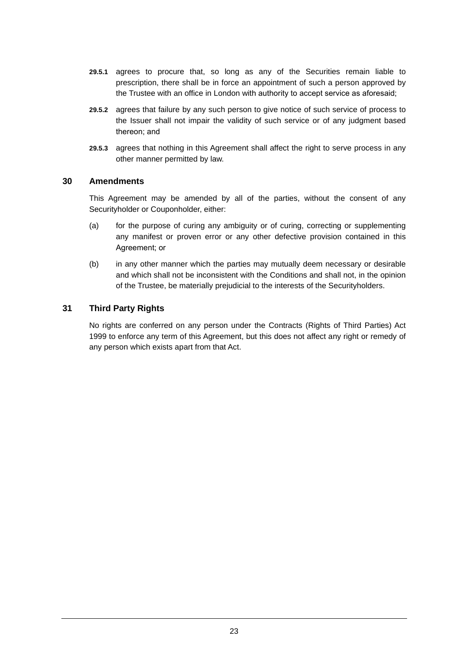- **29.5.1** agrees to procure that, so long as any of the Securities remain liable to prescription, there shall be in force an appointment of such a person approved by the Trustee with an office in London with authority to accept service as aforesaid;
- **29.5.2** agrees that failure by any such person to give notice of such service of process to the Issuer shall not impair the validity of such service or of any judgment based thereon; and
- **29.5.3** agrees that nothing in this Agreement shall affect the right to serve process in any other manner permitted by law.

#### **30 Amendments**

This Agreement may be amended by all of the parties, without the consent of any Securityholder or Couponholder, either:

- (a) for the purpose of curing any ambiguity or of curing, correcting or supplementing any manifest or proven error or any other defective provision contained in this Agreement; or
- (b) in any other manner which the parties may mutually deem necessary or desirable and which shall not be inconsistent with the Conditions and shall not, in the opinion of the Trustee, be materially prejudicial to the interests of the Securityholders.

### **31 Third Party Rights**

No rights are conferred on any person under the Contracts (Rights of Third Parties) Act 1999 to enforce any term of this Agreement, but this does not affect any right or remedy of any person which exists apart from that Act.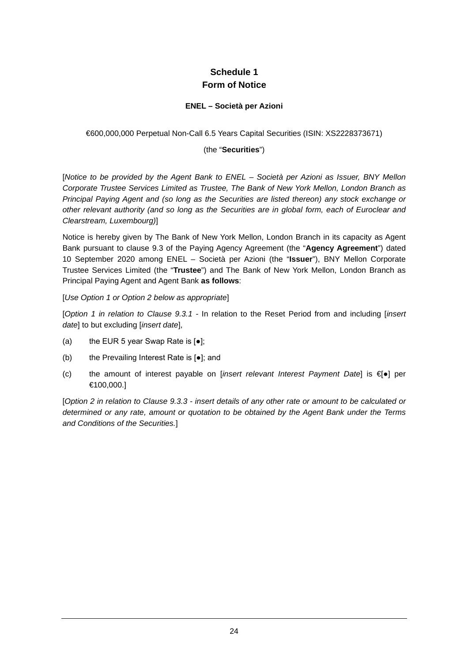# **Schedule 1 Form of Notice**

### **ENEL – Società per Azioni**

#### €600,000,000 Perpetual Non-Call 6.5 Years Capital Securities (ISIN: XS2228373671)

#### (the "**Securities**")

[*Notice to be provided by the Agent Bank to ENEL – Società per Azioni as Issuer, BNY Mellon Corporate Trustee Services Limited as Trustee, The Bank of New York Mellon, London Branch as Principal Paying Agent and (so long as the Securities are listed thereon) any stock exchange or other relevant authority (and so long as the Securities are in global form, each of Euroclear and Clearstream, Luxembourg)*]

Notice is hereby given by The Bank of New York Mellon, London Branch in its capacity as Agent Bank pursuant to clause 9.3 of the Paying Agency Agreement (the "**Agency Agreement**") dated 10 September 2020 among ENEL – Società per Azioni (the "**Issuer**"), BNY Mellon Corporate Trustee Services Limited (the "**Trustee**") and The Bank of New York Mellon, London Branch as Principal Paying Agent and Agent Bank **as follows**:

[*Use Option 1 or Option 2 below as appropriate*]

[*Option 1 in relation to Clause 9.3.1 -* In relation to the Reset Period from and including [*insert date*] to but excluding [*insert date*],

- (a) the EUR 5 year Swap Rate is  $[e]$ ;
- (b) the Prevailing Interest Rate is [●]; and
- (c) the amount of interest payable on [*insert relevant Interest Payment Date*] is €<sup>[•</sup>] per €100,000.]

[*Option 2 in relation to Clause 9.3.3 - insert details of any other rate or amount to be calculated or determined or any rate, amount or quotation to be obtained by the Agent Bank under the Terms and Conditions of the Securities.*]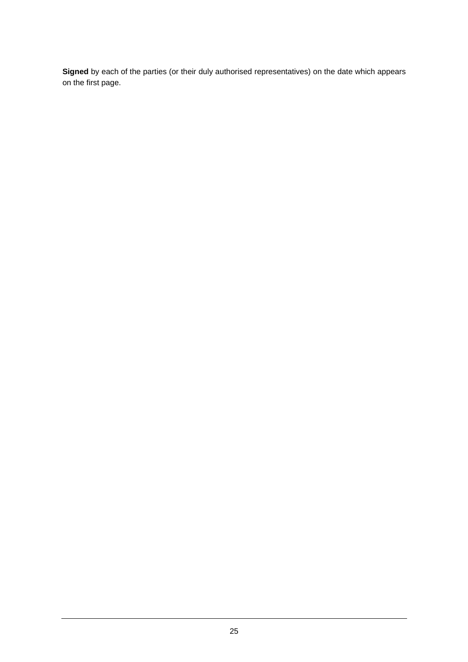**Signed** by each of the parties (or their duly authorised representatives) on the date which appears on the first page.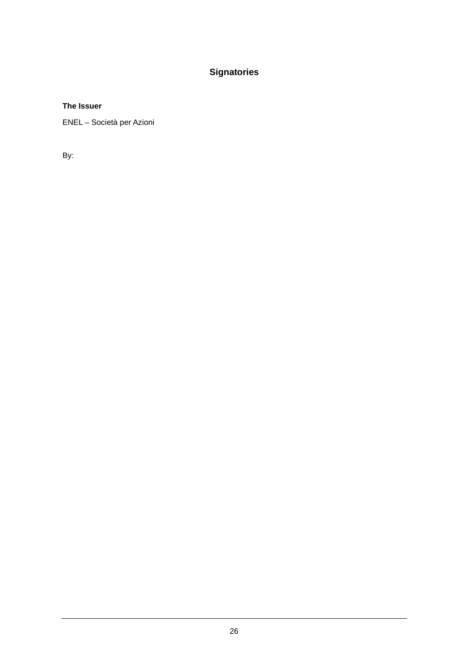# **Signatories**

### **The Issuer**

ENEL – Società per Azioni

By: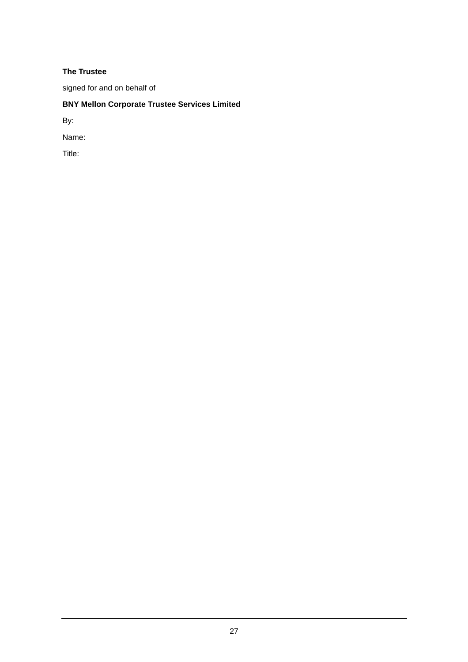### **The Trustee**

signed for and on behalf of

# **BNY Mellon Corporate Trustee Services Limited**

By:

Name:

Title: